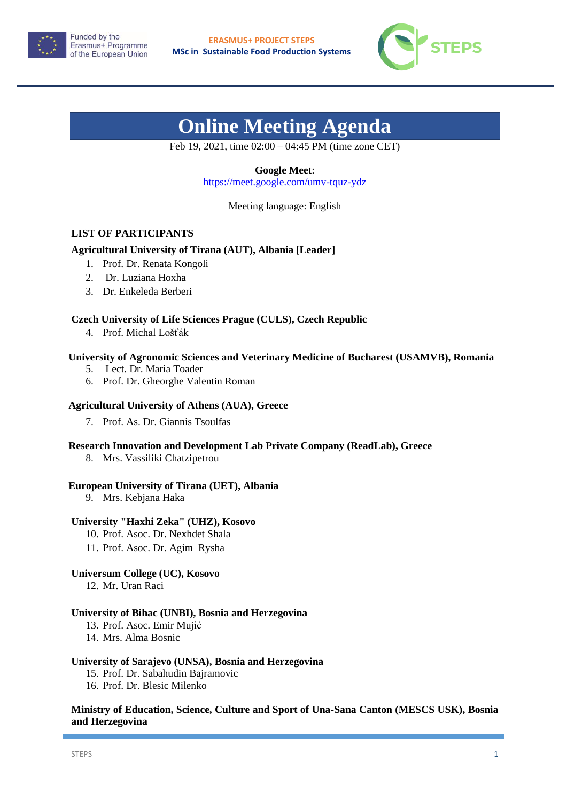



# **Online Meeting Agenda**

Feb 19, 2021, time 02:00 – 04:45 PM (time zone CET)

# **Google Meet**:

<https://meet.google.com/umv-tquz-ydz>

Meeting language: English

# **LIST OF PARTICIPANTS**

# **Agricultural University of Tirana (AUT), Albania [Leader]**

- 1. Prof. Dr. Renata Kongoli
- 2. Dr. Luziana Hoxha
- 3. Dr. Enkeleda Berberi

#### **Czech University of Life Sciences Prague (CULS), Czech Republic**

4. Prof. Michal Lošťák

#### **University of Agronomic Sciences and Veterinary Medicine of Bucharest (USAMVB), Romania**

- 5. Lect. Dr. Maria Toader
- 6. Prof. Dr. Gheorghe Valentin Roman

#### **Agricultural University of Athens (AUA), Greece**

7. Prof. As. Dr. Giannis Tsoulfas

#### **Research Innovation and Development Lab Private Company (ReadLab), Greece**

8. Mrs. Vassiliki Chatzipetrou

# **European University of Tirana (UET), Albania**

9. Mrs. Kebjana Haka

# **University "Haxhi Zeka" (UHZ), Kosovo**

- 10. Prof. Asoc. Dr. Nexhdet Shala
- 11. Prof. Asoc. Dr. Agim Rysha

#### **Universum College (UC), Kosovo**

12. Mr. Uran Raci

#### **University of Bihac (UNBI), Bosnia and Herzegovina**

- 13. Prof. Asoc. Emir Mujić
- 14. Mrs. Alma Bosnic

#### **University of Sarajevo (UNSA), Bosnia and Herzegovina**

- 15. Prof. Dr. Sabahudin Bajramovic
- 16. Prof. Dr. Blesic Milenko

# **Ministry of Education, Science, Culture and Sport of Una-Sana Canton (MESCS USK), Bosnia and Herzegovina**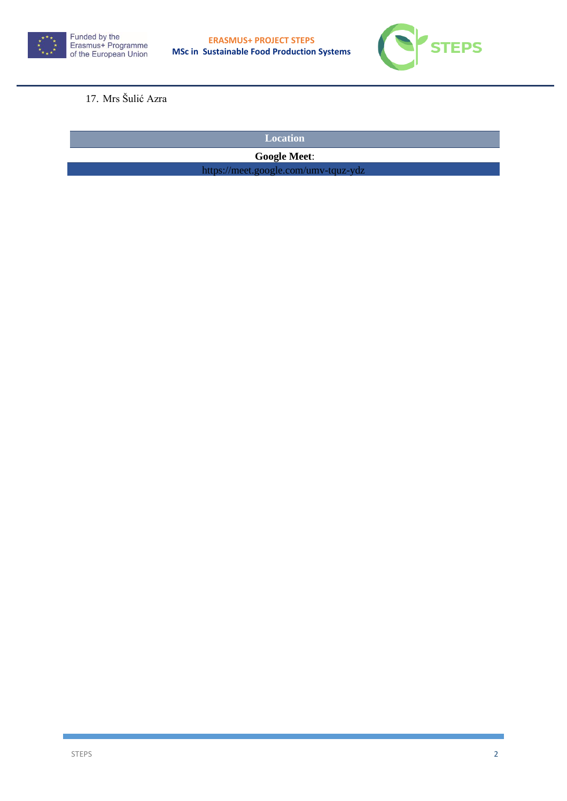



# 17. Mrs Šulić Azra

**Location** 

**Google Meet**:

https://meet.google.com/umv-tquz-ydz